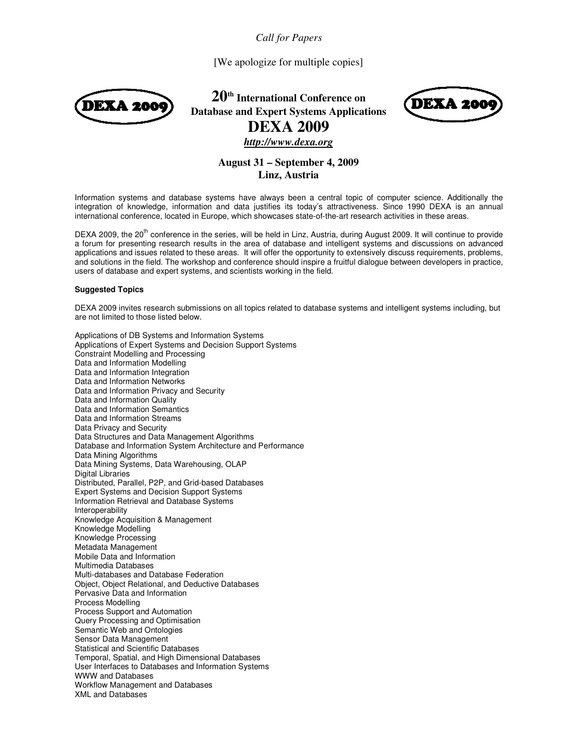*Call for Papers* 

[We apologize for multiple copies]



**20th International Conference on Database and Expert Systems Applications DEXA 2009**



*http://www.dexa.org*

# **August 31 – September 4, 2009 Linz, Austria**

Information systems and database systems have always been a central topic of computer science. Additionally the integration of knowledge, information and data justifies its today's attractiveness. Since 1990 DEXA is an annual international conference, located in Europe, which showcases state-of-the-art research activities in these areas.

DEXA 2009, the  $20^{th}$  conference in the series, will be held in Linz, Austria, during August 2009. It will continue to provide a forum for presenting research results in the area of database and intelligent systems and discussions on advanced applications and issues related to these areas. It will offer the opportunity to extensively discuss requirements, problems, and solutions in the field. The workshop and conference should inspire a fruitful dialogue between developers in practice, users of database and expert systems, and scientists working in the field.

## **Suggested Topics**

DEXA 2009 invites research submissions on all topics related to database systems and intelligent systems including, but are not limited to those listed below.

Applications of DB Systems and Information Systems Applications of Expert Systems and Decision Support Systems Constraint Modelling and Processing Data and Information Modelling Data and Information Integration Data and Information Networks Data and Information Privacy and Security Data and Information Quality Data and Information Semantics Data and Information Streams Data Privacy and Security Data Structures and Data Management Algorithms Database and Information System Architecture and Performance Data Mining Algorithms Data Mining Systems, Data Warehousing, OLAP Digital Libraries Distributed, Parallel, P2P, and Grid-based Databases Expert Systems and Decision Support Systems Information Retrieval and Database Systems Interoperability Knowledge Acquisition & Management Knowledge Modelling Knowledge Processing Metadata Management Mobile Data and Information Multimedia Databases Multi-databases and Database Federation Object, Object Relational, and Deductive Databases Pervasive Data and Information Process Modelling Process Support and Automation Query Processing and Optimisation Semantic Web and Ontologies Sensor Data Management Statistical and Scientific Databases Temporal, Spatial, and High Dimensional Databases User Interfaces to Databases and Information Systems WWW and Databases Workflow Management and Databases XML and Databases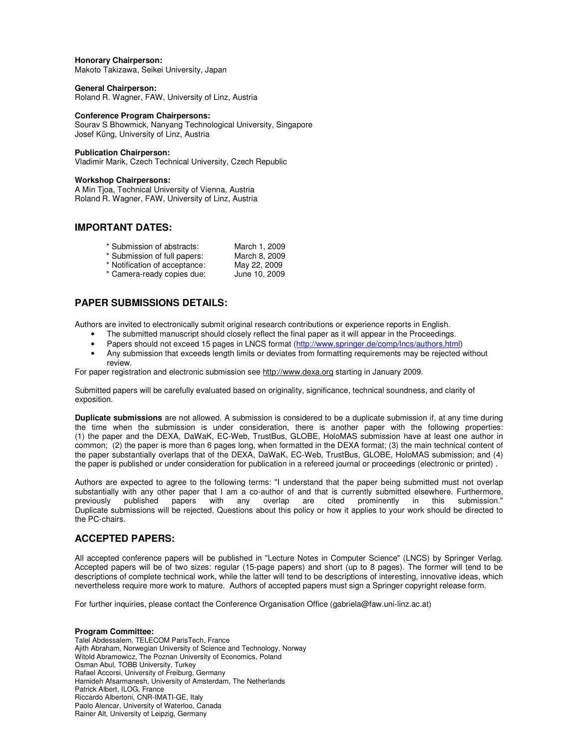#### **Honorary Chairperson:**

Makoto Takizawa, Seikei University, Japan

# **General Chairperson:**

Roland R. Wagner, FAW, University of Linz, Austria

# **Conference Program Chairpersons:**

Sourav S Bhowmick, Nanyang Technological University, Singapore Josef Küng, University of Linz, Austria

### **Publication Chairperson:**

Vladimir Marik, Czech Technical University, Czech Republic

#### **Workshop Chairpersons:**

A Min Tjoa, Technical University of Vienna, Austria Roland R. Wagner, FAW, University of Linz, Austria

# **IMPORTANT DATES:**

| * Submission of abstracts:    | March 1, 2009 |
|-------------------------------|---------------|
| * Submission of full papers:  | March 8, 2009 |
| * Notification of acceptance: | May 22, 2009  |
| * Camera-ready copies due:    | June 10, 2009 |

# **PAPER SUBMISSIONS DETAILS:**

Authors are invited to electronically submit original research contributions or experience reports in English.

- The submitted manuscript should closely reflect the final paper as it will appear in the Proceedings.
- Papers should not exceed 15 pages in LNCS format (http://www.springer.de/comp/lncs/authors.html)
- Any submission that exceeds length limits or deviates from formatting requirements may be rejected without review.

For paper registration and electronic submission see http://www.dexa.org starting in January 2009.

Submitted papers will be carefully evaluated based on originality, significance, technical soundness, and clarity of exposition.

**Duplicate submissions** are not allowed. A submission is considered to be a duplicate submission if, at any time during the time when the submission is under consideration, there is another paper with the following properties: (1) the paper and the DEXA, DaWaK, EC-Web, TrustBus, GLOBE, HoloMAS submission have at least one author in common; (2) the paper is more than 6 pages long, when formatted in the DEXA format; (3) the main technical content of the paper substantially overlaps that of the DEXA, DaWaK, EC-Web, TrustBus, GLOBE, HoloMAS submission; and (4) the paper is published or under consideration for publication in a refereed journal or proceedings (electronic or printed) .

Authors are expected to agree to the following terms: "I understand that the paper being submitted must not overlap substantially with any other paper that I am a co-author of and that is currently submitted elsewhere. Furthermore, previously published papers with any overlap are cited prominently in this submission." Duplicate submissions will be rejected. Questions about this policy or how it applies to your work should be directed to the PC-chairs.

# **ACCEPTED PAPERS:**

All accepted conference papers will be published in "Lecture Notes in Computer Science" (LNCS) by Springer Verlag. Accepted papers will be of two sizes: regular (15-page papers) and short (up to 8 pages). The former will tend to be descriptions of complete technical work, while the latter will tend to be descriptions of interesting, innovative ideas, which nevertheless require more work to mature. Authors of accepted papers must sign a Springer copyright release form.

For further inquiries, please contact the Conference Organisation Office (gabriela@faw.uni-linz.ac.at)

#### **Program Committee:**

Talel Abdessalem, TELECOM ParisTech, France Ajith Abraham, Norwegian University of Science and Technology, Norway Witold Abramowicz, The Poznan University of Economics, Poland Osman Abul, TOBB University, Turkey Rafael Accorsi, University of Freiburg, Germany Hamideh Afsarmanesh, University of Amsterdam, The Netherlands Patrick Albert, ILOG, France Riccardo Albertoni, CNR-IMATI-GE, Italy Paolo Alencar, University of Waterloo, Canada Rainer Alt, University of Leipzig, Germany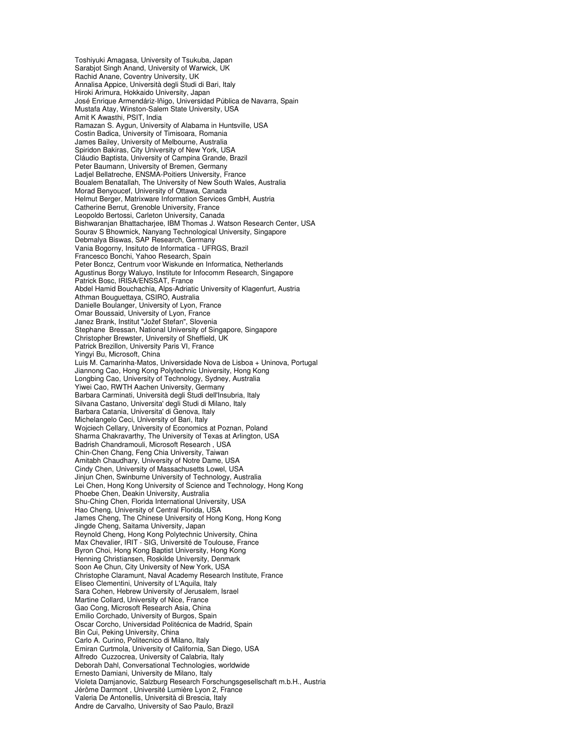Toshiyuki Amagasa, University of Tsukuba, Japan Sarabjot Singh Anand, University of Warwick, UK Rachid Anane, Coventry University, UK Annalisa Appice, Università degli Studi di Bari, Italy Hiroki Arimura, Hokkaido University, Japan José Enrique Armendáriz-Iñigo, Universidad Pública de Navarra, Spain Mustafa Atay, Winston-Salem State University, USA Amit K Awasthi, PSIT, India Ramazan S. Aygun, University of Alabama in Huntsville, USA Costin Badica, University of Timisoara, Romania James Bailey, University of Melbourne, Australia Spiridon Bakiras, City University of New York, USA Cláudio Baptista, University of Campina Grande, Brazil Peter Baumann, University of Bremen, Germany Ladjel Bellatreche, ENSMA-Poitiers University, France Boualem Benatallah, The University of New South Wales, Australia Morad Benyoucef, University of Ottawa, Canada Helmut Berger, Matrixware Information Services GmbH, Austria Catherine Berrut, Grenoble University, France Leopoldo Bertossi, Carleton University, Canada Bishwaranjan Bhattacharjee, IBM Thomas J. Watson Research Center, USA Sourav S Bhowmick, Nanyang Technological University, Singapore Debmalya Biswas, SAP Research, Germany Vania Bogorny, Insituto de Informatica - UFRGS, Brazil Francesco Bonchi, Yahoo Research, Spain Peter Boncz, Centrum voor Wiskunde en Informatica, Netherlands Agustinus Borgy Waluyo, Institute for Infocomm Research, Singapore Patrick Bosc, IRISA/ENSSAT, France Abdel Hamid Bouchachia, Alps-Adriatic University of Klagenfurt, Austria Athman Bouguettaya, CSIRO, Australia Danielle Boulanger, University of Lyon, France Omar Boussaid, University of Lyon, France Janez Brank, Institut "Jožef Stefan", Slovenia Stephane Bressan, National University of Singapore, Singapore Christopher Brewster, University of Sheffield, UK Patrick Brezillon, University Paris VI, France Yingyi Bu, Microsoft, China Luis M. Camarinha-Matos, Universidade Nova de Lisboa + Uninova, Portugal Jiannong Cao, Hong Kong Polytechnic University, Hong Kong Longbing Cao, University of Technology, Sydney, Australia Yiwei Cao, RWTH Aachen University, Germany Barbara Carminati, Università degli Studi dell'Insubria, Italy Silvana Castano, Universita' degli Studi di Milano, Italy Barbara Catania, Universita' di Genova, Italy Michelangelo Ceci, University of Bari, Italy Wojciech Cellary, University of Economics at Poznan, Poland Sharma Chakravarthy, The University of Texas at Arlington, USA Badrish Chandramouli, Microsoft Research , USA Chin-Chen Chang, Feng Chia University, Taiwan Amitabh Chaudhary, University of Notre Dame, USA Cindy Chen, University of Massachusetts Lowel, USA Jinjun Chen, Swinburne University of Technology, Australia Lei Chen, Hong Kong University of Science and Technology, Hong Kong Phoebe Chen, Deakin University, Australia Shu-Ching Chen, Florida International University, USA Hao Cheng, University of Central Florida, USA James Cheng, The Chinese University of Hong Kong, Hong Kong Jingde Cheng, Saitama University, Japan Reynold Cheng, Hong Kong Polytechnic University, China Max Chevalier, IRIT - SIG, Université de Toulouse, France Byron Choi, Hong Kong Baptist University, Hong Kong Henning Christiansen, Roskilde University, Denmark Soon Ae Chun, City University of New York, USA Christophe Claramunt, Naval Academy Research Institute, France Eliseo Clementini, University of L'Aquila, Italy Sara Cohen, Hebrew University of Jerusalem, Israel Martine Collard, University of Nice, France Gao Cong, Microsoft Research Asia, China Emilio Corchado, University of Burgos, Spain Oscar Corcho, Universidad Politécnica de Madrid, Spain Bin Cui, Peking University, China Carlo A. Curino, Politecnico di Milano, Italy Emiran Curtmola, University of California, San Diego, USA Alfredo Cuzzocrea, University of Calabria, Italy Deborah Dahl, Conversational Technologies, worldwide Ernesto Damiani, University de Milano, Italy Violeta Damjanovic, Salzburg Research Forschungsgesellschaft m.b.H., Austria Jérôme Darmont , Université Lumière Lyon 2, France Valeria De Antonellis, Università di Brescia, Italy Andre de Carvalho, University of Sao Paulo, Brazil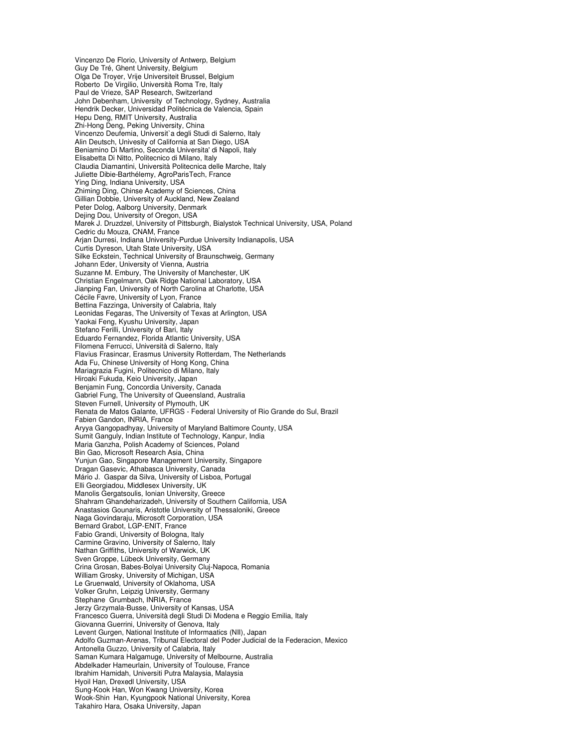Vincenzo De Florio, University of Antwerp, Belgium Guy De Tré, Ghent University, Belgium Olga De Troyer, Vrije Universiteit Brussel, Belgium Roberto De Virgilio, Università Roma Tre, Italy Paul de Vrieze, SAP Research, Switzerland John Debenham, University of Technology, Sydney, Australia Hendrik Decker, Universidad Politécnica de Valencia, Spain Hepu Deng, RMIT University, Australia Zhi-Hong Deng, Peking University, China Vincenzo Deufemia, Universit`a degli Studi di Salerno, Italy Alin Deutsch, Univesity of California at San Diego, USA Beniamino Di Martino, Seconda Universita' di Napoli, Italy Elisabetta Di Nitto, Politecnico di Milano, Italy Claudia Diamantini, Università Politecnica delle Marche, Italy Juliette Dibie-Barthélemy, AgroParisTech, France Ying Ding, Indiana University, USA Zhiming Ding, Chinse Academy of Sciences, China Gillian Dobbie, University of Auckland, New Zealand Peter Dolog, Aalborg University, Denmark Dejing Dou, University of Oregon, USA Marek J. Druzdzel, University of Pittsburgh, Bialystok Technical University, USA, Poland Cedric du Mouza, CNAM, France Arjan Durresi, Indiana University-Purdue University Indianapolis, USA Curtis Dyreson, Utah State University, USA Silke Eckstein, Technical University of Braunschweig, Germany Johann Eder, University of Vienna, Austria Suzanne M. Embury, The University of Manchester, UK Christian Engelmann, Oak Ridge National Laboratory, USA Jianping Fan, University of North Carolina at Charlotte, USA Cécile Favre, University of Lyon, France Bettina Fazzinga, University of Calabria, Italy Leonidas Fegaras, The University of Texas at Arlington, USA Yaokai Feng, Kyushu University, Japan Stefano Ferilli, University of Bari, Italy Eduardo Fernandez, Florida Atlantic University, USA Filomena Ferrucci, Università di Salerno, Italy Flavius Frasincar, Erasmus University Rotterdam, The Netherlands Ada Fu, Chinese University of Hong Kong, China Mariagrazia Fugini, Politecnico di Milano, Italy Hiroaki Fukuda, Keio University, Japan Benjamin Fung, Concordia University, Canada Gabriel Fung, The University of Queensland, Australia Steven Furnell, University of Plymouth, UK Renata de Matos Galante, UFRGS - Federal University of Rio Grande do Sul, Brazil Fabien Gandon, INRIA, France Aryya Gangopadhyay, University of Maryland Baltimore County, USA Sumit Ganguly, Indian Institute of Technology, Kanpur, India Maria Ganzha, Polish Academy of Sciences, Poland Bin Gao, Microsoft Research Asia, China Yunjun Gao, Singapore Management University, Singapore Dragan Gasevic, Athabasca University, Canada Mário J. Gaspar da Silva, University of Lisboa, Portugal Elli Georgiadou, Middlesex University, UK Manolis Gergatsoulis, Ionian University, Greece Shahram Ghandeharizadeh, University of Southern California, USA Anastasios Gounaris, Aristotle University of Thessaloniki, Greece Naga Govindaraju, Microsoft Corporation, USA Bernard Grabot, LGP-ENIT, France Fabio Grandi, University of Bologna, Italy Carmine Gravino, University of Salerno, Italy Nathan Griffiths, University of Warwick, UK Sven Groppe, Lübeck University, Germany Crina Grosan, Babes-Bolyai University Cluj-Napoca, Romania William Grosky, University of Michigan, USA Le Gruenwald, University of Oklahoma, USA Volker Gruhn, Leipzig University, Germany Stephane Grumbach, INRIA, France Jerzy Grzymala-Busse, University of Kansas, USA Francesco Guerra, Università degli Studi Di Modena e Reggio Emilia, Italy Giovanna Guerrini, University of Genova, Italy Levent Gurgen, National Institute of Informaatics (NII), Japan Adolfo Guzman-Arenas, Tribunal Electoral del Poder Judicial de la Federacion, Mexico Antonella Guzzo, University of Calabria, Italy Saman Kumara Halgamuge, University of Melbourne, Australia Abdelkader Hameurlain, University of Toulouse, France Ibrahim Hamidah, Universiti Putra Malaysia, Malaysia Hyoil Han, Drexedl University, USA Sung-Kook Han, Won Kwang University, Korea Wook-Shin Han, Kyungpook National University, Korea Takahiro Hara, Osaka University, Japan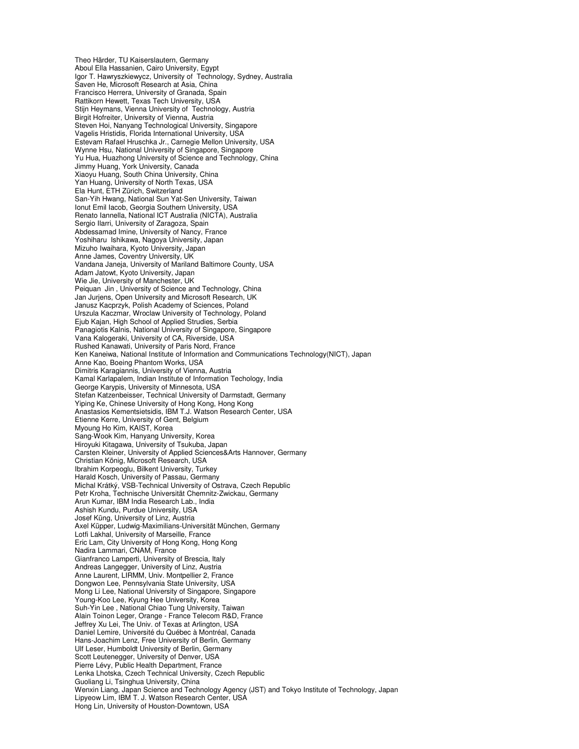Theo Härder, TU Kaiserslautern, Germany Aboul Ella Hassanien, Cairo University, Egypt Igor T. Hawryszkiewycz, University of Technology, Sydney, Australia Saven He, Microsoft Research at Asia, China Francisco Herrera, University of Granada, Spain Rattikorn Hewett, Texas Tech University, USA Stijn Heymans, Vienna University of Technology, Austria Birgit Hofreiter, University of Vienna, Austria Steven Hoi, Nanyang Technological University, Singapore Vagelis Hristidis, Florida International University, USA Estevam Rafael Hruschka Jr., Carnegie Mellon University, USA Wynne Hsu, National University of Singapore, Singapore Yu Hua, Huazhong University of Science and Technology, China Jimmy Huang, York University, Canada Xiaoyu Huang, South China University, China Yan Huang, University of North Texas, USA Ela Hunt, ETH Zürich, Switzerland San-Yih Hwang, National Sun Yat-Sen University, Taiwan Ionut Emil Iacob, Georgia Southern University, USA Renato Iannella, National ICT Australia (NICTA), Australia Sergio Ilarri, University of Zaragoza, Spain Abdessamad Imine, University of Nancy, France Yoshiharu Ishikawa, Nagoya University, Japan Mizuho Iwaihara, Kyoto University, Japan Anne James, Coventry University, UK Vandana Janeja, University of Mariland Baltimore County, USA Adam Jatowt, Kyoto University, Japan Wie Jie, University of Manchester, UK Peiquan Jin , University of Science and Technology, China Jan Jurjens, Open University and Microsoft Research, UK Janusz Kacprzyk, Polish Academy of Sciences, Poland Urszula Kaczmar, Wroclaw University of Technology, Poland Ejub Kajan, High School of Applied Strudies, Serbia Panagiotis Kalnis, National University of Singapore, Singapore Vana Kalogeraki, University of CA, Riverside, USA Rushed Kanawati, University of Paris Nord, France Ken Kaneiwa, National Institute of Information and Communications Technology(NICT), Japan Anne Kao, Boeing Phantom Works, USA Dimitris Karagiannis, University of Vienna, Austria Kamal Karlapalem, Indian Institute of Information Techology, India George Karypis, University of Minnesota, USA Stefan Katzenbeisser, Technical University of Darmstadt, Germany Yiping Ke, Chinese University of Hong Kong, Hong Kong Anastasios Kementsietsidis, IBM T.J. Watson Research Center, USA Etienne Kerre, University of Gent, Belgium Myoung Ho Kim, KAIST, Korea Sang-Wook Kim, Hanyang University, Korea Hiroyuki Kitagawa, University of Tsukuba, Japan Carsten Kleiner, University of Applied Sciences&Arts Hannover, Germany Christian König, Microsoft Research, USA Ibrahim Korpeoglu, Bilkent University, Turkey Harald Kosch, University of Passau, Germany Michal Krátký, VSB-Technical University of Ostrava, Czech Republic Petr Kroha, Technische Universität Chemnitz-Zwickau, Germany Arun Kumar, IBM India Research Lab., India Ashish Kundu, Purdue University, USA Josef Küng, University of Linz, Austria Axel Küpper, Ludwig-Maximilians-Universität München, Germany Lotfi Lakhal, University of Marseille, France Eric Lam, City University of Hong Kong, Hong Kong Nadira Lammari, CNAM, France Gianfranco Lamperti, University of Brescia, Italy Andreas Langegger, University of Linz, Austria Anne Laurent, LIRMM, Univ. Montpellier 2, France Dongwon Lee, Pennsylvania State University, USA Mong Li Lee, National University of Singapore, Singapore Young-Koo Lee, Kyung Hee University, Korea Suh-Yin Lee , National Chiao Tung University, Taiwan Alain Toinon Leger, Orange - France Telecom R&D, France Jeffrey Xu Lei, The Univ. of Texas at Arlington, USA Daniel Lemire, Université du Québec à Montréal, Canada Hans-Joachim Lenz, Free University of Berlin, Germany Ulf Leser, Humboldt University of Berlin, Germany Scott Leutenegger, University of Denver, USA Pierre Lévy, Public Health Department, France Lenka Lhotska, Czech Technical University, Czech Republic Guoliang Li, Tsinghua University, China Wenxin Liang, Japan Science and Technology Agency (JST) and Tokyo Institute of Technology, Japan Lipyeow Lim, IBM T. J. Watson Research Center, USA Hong Lin, University of Houston-Downtown, USA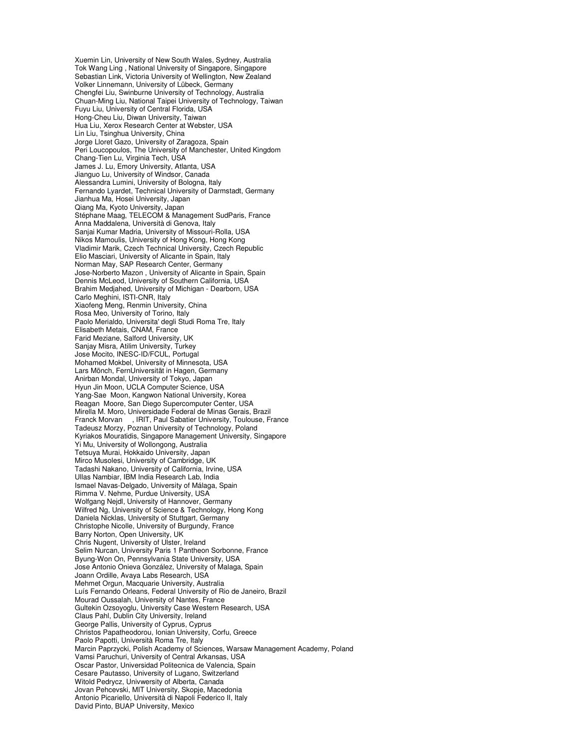Xuemin Lin, University of New South Wales, Sydney, Australia Tok Wang Ling , National University of Singapore, Singapore Sebastian Link, Victoria University of Wellington, New Zealand Volker Linnemann, University of Lübeck, Germany Chengfei Liu, Swinburne University of Technology, Australia Chuan-Ming Liu, National Taipei University of Technology, Taiwan Fuyu Liu, University of Central Florida, USA Hong-Cheu Liu, Diwan University, Taiwan Hua Liu, Xerox Research Center at Webster, USA Lin Liu, Tsinghua University, China Jorge Lloret Gazo, University of Zaragoza, Spain Peri Loucopoulos, The University of Manchester, United Kingdom Chang-Tien Lu, Virginia Tech, USA James J. Lu, Emory University, Atlanta, USA Jianguo Lu, University of Windsor, Canada Alessandra Lumini, University of Bologna, Italy Fernando Lyardet, Technical University of Darmstadt, Germany Jianhua Ma, Hosei University, Japan Qiang Ma, Kyoto University, Japan Stéphane Maag, TELECOM & Management SudParis, France Anna Maddalena, Università di Genova, Italy Sanjai Kumar Madria, University of Missouri-Rolla, USA Nikos Mamoulis, University of Hong Kong, Hong Kong Vladimir Marik, Czech Technical University, Czech Republic Elio Masciari, University of Alicante in Spain, Italy Norman May, SAP Research Center, Germany Jose-Norberto Mazon , University of Alicante in Spain, Spain Dennis McLeod, University of Southern California, USA Brahim Medjahed, University of Michigan - Dearborn, USA Carlo Meghini, ISTI-CNR, Italy Xiaofeng Meng, Renmin University, China Rosa Meo, University of Torino, Italy Paolo Merialdo, Universita' degli Studi Roma Tre, Italy Elisabeth Metais, CNAM, France Farid Meziane, Salford University, UK Sanjay Misra, Atilim University, Turkey Jose Mocito, INESC-ID/FCUL, Portugal Mohamed Mokbel, University of Minnesota, USA Lars Mönch, FernUniversität in Hagen, Germany Anirban Mondal, University of Tokyo, Japan Hyun Jin Moon, UCLA Computer Science, USA Yang-Sae Moon, Kangwon National University, Korea Reagan Moore, San Diego Supercomputer Center, USA Mirella M. Moro, Universidade Federal de Minas Gerais, Brazil Franck Morvan , IRIT, Paul Sabatier University, Toulouse, France Tadeusz Morzy, Poznan University of Technology, Poland Kyriakos Mouratidis, Singapore Management University, Singapore Yi Mu, University of Wollongong, Australia Tetsuya Murai, Hokkaido University, Japan Mirco Musolesi, University of Cambridge, UK Tadashi Nakano, University of California, Irvine, USA Ullas Nambiar, IBM India Research Lab, India Ismael Navas-Delgado, University of Málaga, Spain Rimma V. Nehme, Purdue University, USA Wolfgang Nejdl, University of Hannover, Germany Wilfred Ng, University of Science & Technology, Hong Kong Daniela Nicklas, University of Stuttgart, Germany Christophe Nicolle, University of Burgundy, France Barry Norton, Open University, UK Chris Nugent, University of Ulster, Ireland Selim Nurcan, University Paris 1 Pantheon Sorbonne, France Byung-Won On, Pennsylvania State University, USA Jose Antonio Onieva González, University of Malaga, Spain Joann Ordille, Avaya Labs Research, USA Mehmet Orgun, Macquarie University, Australia Luís Fernando Orleans, Federal University of Rio de Janeiro, Brazil Mourad Oussalah, University of Nantes, France Gultekin Ozsoyoglu, University Case Western Research, USA Claus Pahl, Dublin City University, Ireland George Pallis, University of Cyprus, Cyprus Christos Papatheodorou, Ionian University, Corfu, Greece Paolo Papotti, Università Roma Tre, Italy Marcin Paprzycki, Polish Academy of Sciences, Warsaw Management Academy, Poland Vamsi Paruchuri, University of Central Arkansas, USA Oscar Pastor, Universidad Politecnica de Valencia, Spain Cesare Pautasso, University of Lugano, Switzerland Witold Pedrycz, Univwersity of Alberta, Canada Jovan Pehcevski, MIT University, Skopje, Macedonia Antonio Picariello, Università di Napoli Federico II, Italy David Pinto, BUAP University, Mexico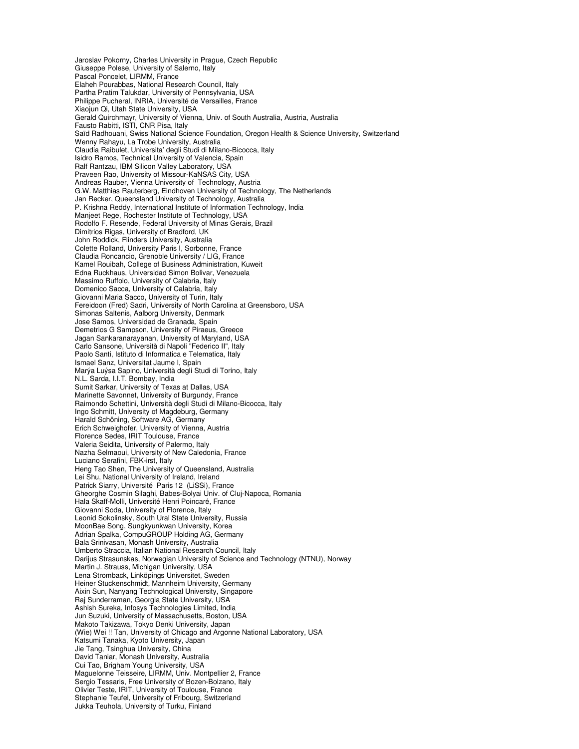Jaroslav Pokorny, Charles University in Prague, Czech Republic Giuseppe Polese, University of Salerno, Italy Pascal Poncelet, LIRMM, France Elaheh Pourabbas, National Research Council, Italy Partha Pratim Talukdar, University of Pennsylvania, USA Philippe Pucheral, INRIA, Université de Versailles, France Xiaojun Qi, Utah State University, USA Gerald Quirchmayr, University of Vienna, Univ. of South Australia, Austria, Australia Fausto Rabitti, ISTI, CNR Pisa, Italy Saïd Radhouani, Swiss National Science Foundation, Oregon Health & Science University, Switzerland Wenny Rahayu, La Trobe University, Australia Claudia Raibulet, Universita' degli Studi di Milano-Bicocca, Italy Isidro Ramos, Technical University of Valencia, Spain Ralf Rantzau, IBM Silicon Valley Laboratory, USA Praveen Rao, University of Missour-KaNSAS City, USA Andreas Rauber, Vienna University of Technology, Austria G.W. Matthias Rauterberg, Eindhoven University of Technology, The Netherlands Jan Recker, Queensland University of Technology, Australia P. Krishna Reddy, International Institute of Information Technology, India Manjeet Rege, Rochester Institute of Technology, USA Rodolfo F. Resende, Federal University of Minas Gerais, Brazil Dimitrios Rigas, University of Bradford, UK John Roddick, Flinders University, Australia Colette Rolland, University Paris I, Sorbonne, France Claudia Roncancio, Grenoble University / LIG, France Kamel Rouibah, College of Business Administration, Kuweit Edna Ruckhaus, Universidad Simon Bolivar, Venezuela Massimo Ruffolo, University of Calabria, Italy Domenico Sacca, University of Calabria, Italy Giovanni Maria Sacco, University of Turin, Italy Fereidoon (Fred) Sadri, University of North Carolina at Greensboro, USA Simonas Saltenis, Aalborg University, Denmark Jose Samos, Universidad de Granada, Spain Demetrios G Sampson, University of Piraeus, Greece Jagan Sankaranarayanan, University of Maryland, USA Carlo Sansone, Università di Napoli "Federico II", Italy Paolo Santi, Istituto di Informatica e Telematica, Italy Ismael Sanz, Universitat Jaume I, Spain Marýa Luýsa Sapino, Università degli Studi di Torino, Italy N.L. Sarda, I.I.T. Bombay, India Sumit Sarkar, University of Texas at Dallas, USA Marinette Savonnet, University of Burgundy, France Raimondo Schettini, Università degli Studi di Milano-Bicocca, Italy Ingo Schmitt, University of Magdeburg, Germany Harald Schöning, Software AG, Germany Erich Schweighofer, University of Vienna, Austria Florence Sedes, IRIT Toulouse, France Valeria Seidita, University of Palermo, Italy Nazha Selmaoui, University of New Caledonia, France Luciano Serafini, FBK-irst, Italy Heng Tao Shen, The University of Queensland, Australia Lei Shu, National University of Ireland, Ireland Patrick Siarry, Université Paris 12 (LiSSi), France Gheorghe Cosmin Silaghi, Babes-Bolyai Univ. of Cluj-Napoca, Romania Hala Skaff-Molli, Université Henri Poincaré, France Giovanni Soda, University of Florence, Italy Leonid Sokolinsky, South Ural State University, Russia MoonBae Song, Sungkyunkwan University, Korea Adrian Spalka, CompuGROUP Holding AG, Germany Bala Srinivasan, Monash University, Australia Umberto Straccia, Italian National Research Council, Italy Darijus Strasunskas, Norwegian University of Science and Technology (NTNU), Norway Martin J. Strauss, Michigan University, USA Lena Stromback, Linköpings Universitet, Sweden Heiner Stuckenschmidt, Mannheim University, Germany Aixin Sun, Nanyang Technological University, Singapore Raj Sunderraman, Georgia State University, USA Ashish Sureka, Infosys Technologies Limited, India Jun Suzuki, University of Massachusetts, Boston, USA Makoto Takizawa, Tokyo Denki University, Japan (Wie) Wei !! Tan, University of Chicago and Argonne National Laboratory, USA Katsumi Tanaka, Kyoto University, Japan Jie Tang, Tsinghua University, China David Taniar, Monash University, Australia Cui Tao, Brigham Young University, USA Maguelonne Teisseire, LIRMM, Univ. Montpellier 2, France Sergio Tessaris, Free University of Bozen-Bolzano, Italy Olivier Teste, IRIT, University of Toulouse, France Stephanie Teufel, University of Fribourg, Switzerland Jukka Teuhola, University of Turku, Finland